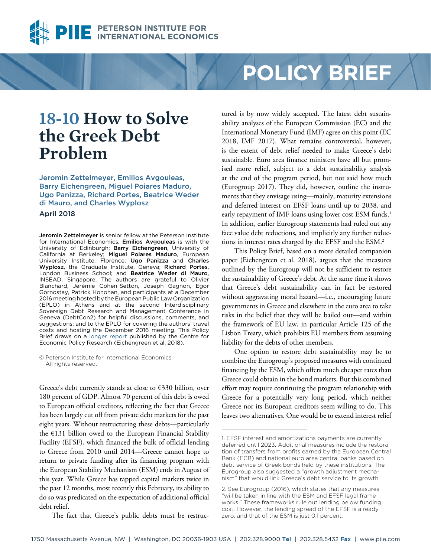

# **POLICY BRIEF**

## **18-10 How to Solve the Greek Debt Problem**

[Jeromin Zettelmeyer](https://piie.com/experts/senior-research-staff/jeromin-zettelmeyer), Emilios Avgouleas, Barry Eichengreen, Miguel Poiares Maduro, Ugo Panizza, Richard Portes, Beatrice Weder di Mauro, and Charles Wyplosz

April 2018

Jeromin Zettelmeyer is senior fellow at the Peterson Institute for International Economics. Emilios Avgouleas is with the University of Edinburgh; Barry Eichengreen, University of California at Berkeley; Miguel Poiares Maduro, European University Institute, Florence; Ugo Panizza and Charles Wyplosz, the Graduate Institute, Geneva; Richard Portes, London Business School; and Beatrice Weder di Mauro, INSEAD, Singapore. The authors are grateful to Olivier Blanchard, Jérémie Cohen-Setton, Joseph Gagnon, Egor Gornostay, Patrick Honohan, and participants at a December 2016 meeting hosted by the European Public Law Organization (EPLO) in Athens and at the second Interdisciplinary Sovereign Debt Research and Management Conference in Geneva (DebtCon2) for helpful discussions, comments, and suggestions; and to the EPLO for covering the authors' travel costs and hosting the December 2016 meeting. This Policy Brief draws on a [longer report](https://cepr.org/content/new-policy-insight-no-92-independent-report-greek-official-debt) published by the Centre for Economic Policy Research (Eichengreen et al. 2018).

© Peterson Institute for International Economics. All rights reserved.

Greece's debt currently stands at close to €330 billion, over 180 percent of GDP. Almost 70 percent of this debt is owed to European official creditors, reflecting the fact that Greece has been largely cut off from private debt markets for the past eight years. Without restructuring these debts—particularly the €131 billion owed to the European Financial Stability Facility (EFSF), which financed the bulk of official lending to Greece from 2010 until 2014—Greece cannot hope to return to private funding after its financing program with the European Stability Mechanism (ESM) ends in August of this year. While Greece has tapped capital markets twice in the past 12 months, most recently this February, its ability to do so was predicated on the expectation of additional official debt relief.

The fact that Greece's public debts must be restruc-

tured is by now widely accepted. The latest debt sustainability analyses of the European Commission (EC) and the International Monetary Fund (IMF) agree on this point (EC 2018, IMF 2017). What remains controversial, however, is the extent of debt relief needed to make Greece's debt sustainable. Euro area finance ministers have all but promised more relief, subject to a debt sustainability analysis at the end of the program period, but not said how much (Eurogroup 2017). They did, however, outline the instruments that they envisage using—mainly, maturity extensions and deferred interest on EFSF loans until up to 2038, and early repayment of IMF loans using lower cost ESM funds.<sup>1</sup> In addition, earlier Eurogroup statements had ruled out any face value debt reductions, and implicitly any further reductions in interest rates charged by the EFSF and the ESM.2

This Policy Brief, based on a more detailed companion paper (Eichengreen et al. 2018), argues that the measures outlined by the Eurogroup will not be sufficient to restore the sustainability of Greece's debt. At the same time it shows that Greece's debt sustainability can in fact be restored without aggravating moral hazard—i.e., encouraging future governments in Greece and elsewhere in the euro area to take risks in the belief that they will be bailed out—and within the framework of EU law, in particular Article 125 of the Lisbon Treaty, which prohibits EU members from assuming liability for the debts of other members.

One option to restore debt sustainability may be to combine the Eurogroup's proposed measures with continued financing by the ESM, which offers much cheaper rates than Greece could obtain in the bond markets. But this combined effort may require continuing the program relationship with Greece for a potentially very long period, which neither Greece nor its European creditors seem willing to do. This leaves two alternatives. One would be to extend interest relief

<sup>1.</sup> EFSF interest and amortizations payments are currently deferred until 2023. Additional measures include the restoration of transfers from profits earned by the European Central Bank (ECB) and national euro area central banks based on debt service of Greek bonds held by these institutions. The Eurogroup also suggested a "growth adjustment mechanism" that would link Greece's debt service to its growth.

<sup>2.</sup> See Eurogroup (2016), which states that any measures "will be taken in line with the ESM and EFSF legal frameworks." These frameworks rule out lending below funding cost. However, the lending spread of the EFSF is already zero, and that of the ESM is just 0.1 percent.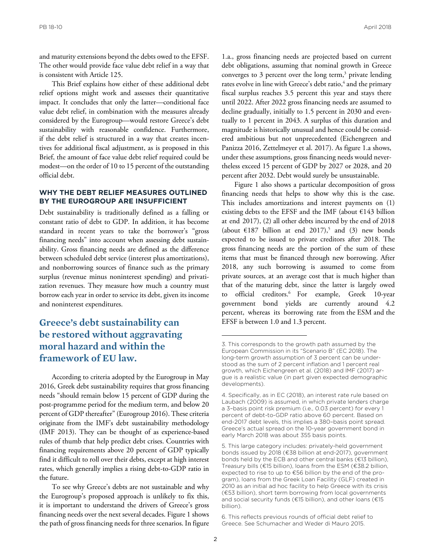and maturity extensions beyond the debts owed to the EFSF. The other would provide face value debt relief in a way that is consistent with Article 125.

This Brief explains how either of these additional debt relief options might work and assesses their quantitative impact. It concludes that only the latter—conditional face value debt relief, in combination with the measures already considered by the Eurogroup—would restore Greece's debt sustainability with reasonable confidence. Furthermore, if the debt relief is structured in a way that creates incentives for additional fiscal adjustment, as is proposed in this Brief, the amount of face value debt relief required could be modest—on the order of 10 to 15 percent of the outstanding official debt.

## **WHY THE DEBT RELIEF MEASURES OUTLINED BY THE EUROGROUP ARE INSUFFICIENT**

Debt sustainability is traditionally defined as a falling or constant ratio of debt to GDP. In addition, it has become standard in recent years to take the borrower's "gross financing needs" into account when assessing debt sustainability. Gross financing needs are defined as the difference between scheduled debt service (interest plus amortizations), and nonborrowing sources of finance such as the primary surplus (revenue minus noninterest spending) and privatization revenues. They measure how much a country must borrow each year in order to service its debt, given its income and noninterest expenditures.

## **Greece's debt sustainability can be restored without aggravating moral hazard and within the framework of EU law.**

According to criteria adopted by the Eurogroup in May 2016, Greek debt sustainability requires that gross financing needs "should remain below 15 percent of GDP during the post-programme period for the medium term, and below 20 percent of GDP thereafter" (Eurogroup 2016). These criteria originate from the IMF's debt sustainability methodology (IMF 2013). They can be thought of as experience-based rules of thumb that help predict debt crises. Countries with financing requirements above 20 percent of GDP typically find it difficult to roll over their debts, except at high interest rates, which generally implies a rising debt-to-GDP ratio in the future.

To see why Greece's debts are not sustainable and why the Eurogroup's proposed approach is unlikely to fix this, it is important to understand the drivers of Greece's gross financing needs over the next several decades. Figure 1 shows the path of gross financing needs for three scenarios. In figure

1.a., gross financing needs are projected based on current debt obligations, assuming that nominal growth in Greece converges to 3 percent over the long term, $3$  private lending rates evolve in line with Greece's debt ratio,<sup>4</sup> and the primary fiscal surplus reaches 3.5 percent this year and stays there until 2022. After 2022 gross financing needs are assumed to decline gradually, initially to 1.5 percent in 2030 and eventually to 1 percent in 2043. A surplus of this duration and magnitude is historically unusual and hence could be considered ambitious but not unprecedented (Eichengreen and Panizza 2016, Zettelmeyer et al. 2017). As figure 1.a shows, under these assumptions, gross financing needs would nevertheless exceed 15 percent of GDP by 2027 or 2028, and 20 percent after 2032. Debt would surely be unsustainable.

Figure 1 also shows a particular decomposition of gross financing needs that helps to show why this is the case. This includes amortizations and interest payments on (1) existing debts to the EFSF and the IMF (about  $E143$  billion at end 2017), (2) all other debts incurred by the end of 2018 (about  $\epsilon$ 187 billion at end 2017),<sup>5</sup> and (3) new bonds expected to be issued to private creditors after 2018. The gross financing needs are the portion of the sum of these items that must be financed through new borrowing. After 2018, any such borrowing is assumed to come from private sources, at an average cost that is much higher than that of the maturing debt, since the latter is largely owed to official creditors.<sup>6</sup> For example, Greek 10-year government bond yields are currently around 4.2 percent, whereas its borrowing rate from the ESM and the EFSF is between 1.0 and 1.3 percent.

<sup>3.</sup> This corresponds to the growth path assumed by the European Commission in its "Scenario B" (EC 2018). The long-term growth assumption of 3 percent can be understood as the sum of 2 percent inflation and 1 percent real growth, which Eichengreen et al. (2018) and IMF (2017) argue is a realistic value (in part given expected demographic developments).

<sup>4.</sup> Specifically, as in EC (2018), an interest rate rule based on Laubach (2009) is assumed, in which private lenders charge a 3–basis point risk premium (i.e., 0.03 percent) for every 1 percent of debt-to-GDP ratio above 60 percent. Based on end-2017 debt levels, this implies a 380–basis point spread. Greece's actual spread on the 10-year government bond in early March 2018 was about 355 basis points.

<sup>5.</sup> This large category includes: privately-held government bonds issued by 2018 (€38 billion at end-2017), government bonds held by the ECB and other central banks (€13 billion), Treasury bills (€15 billion), loans from the ESM (€38.2 billion, expected to rise to up to €56 billion by the end of the program), loans from the Greek Loan Facility (GLF) created in 2010 as an initial ad hoc facility to help Greece with its crisis (€53 billion), short term borrowing from local governments and social security funds (€15 billion), and other loans (€15 billion).

<sup>6.</sup> This reflects previous rounds of official debt relief to Greece. See Schumacher and Weder di Mauro 2015.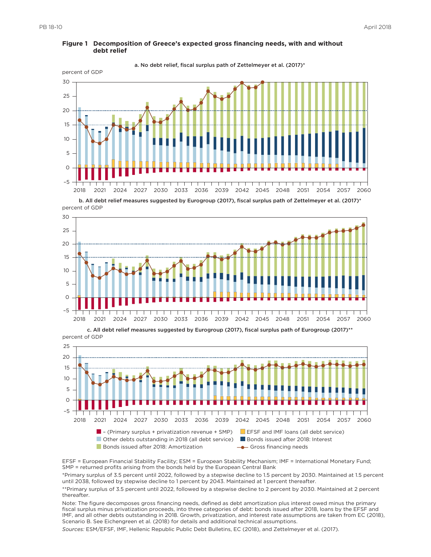

#### **Figure 1 Decomposition of Greece's expected gross financing needs, with and without debt relief**

percent of GDP b. All debt relief measures suggested by Eurogroup (2017), fiscal surplus path of Zettelmeyer et al. (2017)\*



percent of GDP c. All debt relief measures suggested by Eurogroup (2017), fiscal surplus path of Eurogroup (2017)\*\*



EFSF = European Financial Stability Facility; ESM = European Stability Mechanism; IMF = International Monetary Fund; SMP = returned profits arising from the bonds held by the European Central Bank

\*Primary surplus of 3.5 percent until 2022, followed by a stepwise decline to 1.5 percent by 2030. Maintained at 1.5 percent until 2038, followed by stepwise decline to 1 percent by 2043. Maintained at 1 percent thereafter.

\*\*Primary surplus of 3.5 percent until 2022, followed by a stepwise decline to 2 percent by 2030. Maintained at 2 percent thereafter.

Note: The figure decomposes gross financing needs, defined as debt amortization plus interest owed minus the primary fiscal surplus minus privatization proceeds, into three categories of debt: bonds issued after 2018, loans by the EFSF and IMF, and all other debts outstanding in 2018. Growth, privatization, and interest rate assumptions are taken from EC (2018), Scenario B. See Eichengreen et al. (2018) for details and additional technical assumptions.

*Sources:* ESM/EFSF, IMF, Hellenic Republic Public Debt Bulletins, EC (2018), and Zettelmeyer et al. (2017).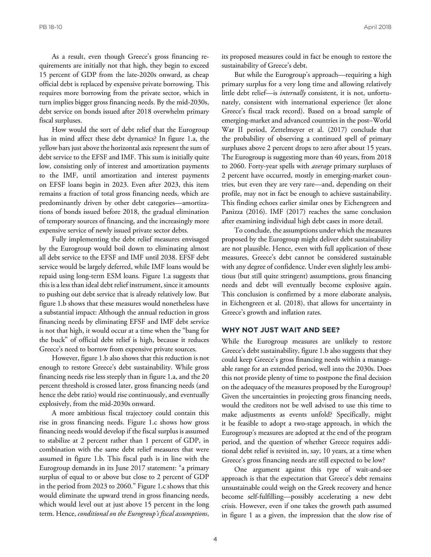As a result, even though Greece's gross financing requirements are initially not that high, they begin to exceed 15 percent of GDP from the late-2020s onward, as cheap official debt is replaced by expensive private borrowing. This requires more borrowing from the private sector, which in turn implies bigger gross financing needs. By the mid-2030s, debt service on bonds issued after 2018 overwhelm primary fiscal surpluses.

How would the sort of debt relief that the Eurogroup has in mind affect these debt dynamics? In figure 1.a, the yellow bars just above the horizontal axis represent the sum of debt service to the EFSF and IMF. This sum is initially quite low, consisting only of interest and amortization payments to the IMF, until amortization and interest payments on EFSF loans begin in 2023. Even after 2023, this item remains a fraction of total gross financing needs, which are predominantly driven by other debt categories—amortizations of bonds issued before 2018, the gradual elimination of temporary sources of financing, and the increasingly more expensive service of newly issued private sector debts.

Fully implementing the debt relief measures envisaged by the Eurogroup would boil down to eliminating almost all debt service to the EFSF and IMF until 2038. EFSF debt service would be largely deferred, while IMF loans would be repaid using long-term ESM loans. Figure 1.a suggests that this is a less than ideal debt relief instrument, since it amounts to pushing out debt service that is already relatively low. But figure 1.b shows that these measures would nonetheless have a substantial impact: Although the annual reduction in gross financing needs by eliminating EFSF and IMF debt service is not that high, it would occur at a time when the "bang for the buck" of official debt relief is high, because it reduces Greece's need to borrow from expensive private sources.

However, figure 1.b also shows that this reduction is not enough to restore Greece's debt sustainability. While gross financing needs rise less steeply than in figure 1.a, and the 20 percent threshold is crossed later, gross financing needs (and hence the debt ratio) would rise continuously, and eventually explosively, from the mid-2030s onward.

A more ambitious fiscal trajectory could contain this rise in gross financing needs. Figure 1.c shows how gross financing needs would develop if the fiscal surplus is assumed to stabilize at 2 percent rather than 1 percent of GDP, in combination with the same debt relief measures that were assumed in figure 1.b. This fiscal path is in line with the Eurogroup demands in its June 2017 statement: "a primary surplus of equal to or above but close to 2 percent of GDP in the period from 2023 to 2060." Figure 1.c shows that this would eliminate the upward trend in gross financing needs, which would level out at just above 15 percent in the long term. Hence, *conditional on the Eurogroup's fiscal assumptions*, its proposed measures could in fact be enough to restore the sustainability of Greece's debt.

But while the Eurogroup's approach—requiring a high primary surplus for a very long time and allowing relatively little debt relief—is *internally* consistent, it is not, unfortunately, consistent with international experience (let alone Greece's fiscal track record). Based on a broad sample of emerging-market and advanced countries in the post–World War II period, Zettelmeyer et al. (2017) conclude that the probability of observing a continued spell of primary surpluses above 2 percent drops to zero after about 15 years. The Eurogroup is suggesting more than 40 years, from 2018 to 2060. Forty-year spells with *average* primary surpluses of 2 percent have occurred, mostly in emerging-market countries, but even they are very rare—and, depending on their profile, may not in fact be enough to achieve sustainability. This finding echoes earlier similar ones by Eichengreen and Panizza (2016). IMF (2017) reaches the same conclusion after examining individual high debt cases in more detail.

To conclude, the assumptions under which the measures proposed by the Eurogroup might deliver debt sustainability are not plausible. Hence, even with full application of these measures, Greece's debt cannot be considered sustainable with any degree of confidence. Under even slightly less ambitious (but still quite stringent) assumptions, gross financing needs and debt will eventually become explosive again. This conclusion is confirmed by a more elaborate analysis, in Eichengreen et al. (2018), that allows for uncertainty in Greece's growth and inflation rates.

## **WHY NOT JUST WAIT AND SEE?**

While the Eurogroup measures are unlikely to restore Greece's debt sustainability, figure 1.b also suggests that they could keep Greece's gross financing needs within a manageable range for an extended period, well into the 2030s. Does this not provide plenty of time to postpone the final decision on the adequacy of the measures proposed by the Eurogroup? Given the uncertainties in projecting gross financing needs, would the creditors not be well advised to use this time to make adjustments as events unfold? Specifically, might it be feasible to adopt a two-stage approach, in which the Eurogroup's measures are adopted at the end of the program period, and the question of whether Greece requires additional debt relief is revisited in, say, 10 years, at a time when Greece's gross financing needs are still expected to be low?

One argument against this type of wait-and-see approach is that the expectation that Greece's debt remains unsustainable could weigh on the Greek recovery and hence become self-fulfilling—possibly accelerating a new debt crisis. However, even if one takes the growth path assumed in figure 1 as a given, the impression that the slow rise of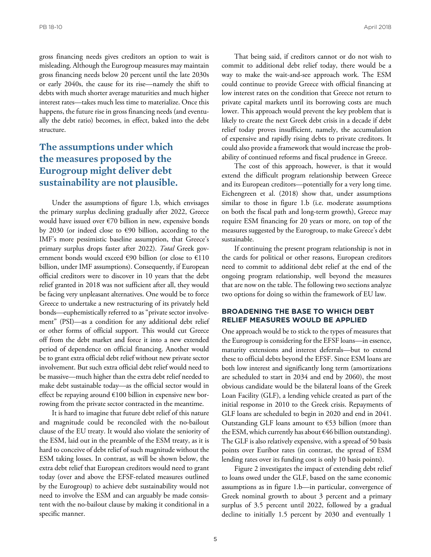gross financing needs gives creditors an option to wait is misleading. Although the Eurogroup measures may maintain gross financing needs below 20 percent until the late 2030s or early 2040s, the cause for its rise—namely the shift to debts with much shorter average maturities and much higher interest rates—takes much less time to materialize. Once this happens, the future rise in gross financing needs (and eventually the debt ratio) becomes, in effect, baked into the debt structure.

## **The assumptions under which the measures proposed by the Eurogroup might deliver debt sustainability are not plausible.**

Under the assumptions of figure 1.b, which envisages the primary surplus declining gradually after 2022, Greece would have issued over  $\epsilon$ 70 billion in new, expensive bonds by 2030 (or indeed close to €90 billion, according to the IMF's more pessimistic baseline assumption, that Greece's primary surplus drops faster after 2022). *Total* Greek government bonds would exceed  $\epsilon$ 90 billion (or close to  $\epsilon$ 110 billion, under IMF assumptions). Consequently, if European official creditors were to discover in 10 years that the debt relief granted in 2018 was not sufficient after all, they would be facing very unpleasant alternatives. One would be to force Greece to undertake a new restructuring of its privately held bonds—euphemistically referred to as "private sector involvement" (PSI)—as a condition for any additional debt relief or other forms of official support. This would cut Greece off from the debt market and force it into a new extended period of dependence on official financing. Another would be to grant extra official debt relief without new private sector involvement. But such extra official debt relief would need to be massive—much higher than the extra debt relief needed to make debt sustainable today—as the official sector would in effect be repaying around  $€100$  billion in expensive new borrowing from the private sector contracted in the meantime.

It is hard to imagine that future debt relief of this nature and magnitude could be reconciled with the no-bailout clause of the EU treaty. It would also violate the seniority of the ESM, laid out in the preamble of the ESM treaty, as it is hard to conceive of debt relief of such magnitude without the ESM taking losses. In contrast, as will be shown below, the extra debt relief that European creditors would need to grant today (over and above the EFSF-related measures outlined by the Eurogroup) to achieve debt sustainability would not need to involve the ESM and can arguably be made consistent with the no-bailout clause by making it conditional in a specific manner.

That being said, if creditors cannot or do not wish to commit to additional debt relief today, there would be a way to make the wait-and-see approach work. The ESM could continue to provide Greece with official financing at low interest rates on the condition that Greece not return to private capital markets until its borrowing costs are much lower. This approach would prevent the key problem that is likely to create the next Greek debt crisis in a decade if debt relief today proves insufficient, namely, the accumulation of expensive and rapidly rising debts to private creditors. It could also provide a framework that would increase the probability of continued reforms and fiscal prudence in Greece.

The cost of this approach, however, is that it would extend the difficult program relationship between Greece and its European creditors—potentially for a very long time. Eichengreen et al. (2018) show that, under assumptions similar to those in figure 1.b (i.e. moderate assumptions on both the fiscal path and long-term growth), Greece may require ESM financing for 20 years or more, on top of the measures suggested by the Eurogroup, to make Greece's debt sustainable.

If continuing the present program relationship is not in the cards for political or other reasons, European creditors need to commit to additional debt relief at the end of the ongoing program relationship, well beyond the measures that are now on the table. The following two sections analyze two options for doing so within the framework of EU law.

## **BROADENING THE BASE TO WHICH DEBT RELIEF MEASURES WOULD BE APPLIED**

One approach would be to stick to the types of measures that the Eurogroup is considering for the EFSF loans—in essence, maturity extensions and interest deferrals—but to extend these to official debts beyond the EFSF. Since ESM loans are both low interest and significantly long term (amortizations are scheduled to start in 2034 and end by 2060), the most obvious candidate would be the bilateral loans of the Greek Loan Facility (GLF), a lending vehicle created as part of the initial response in 2010 to the Greek crisis. Repayments of GLF loans are scheduled to begin in 2020 and end in 2041. Outstanding GLF loans amount to  $\epsilon$ 53 billion (more than the ESM, which currently has about  $\epsilon$ 46 billion outstanding). The GLF is also relatively expensive, with a spread of 50 basis points over Euribor rates (in contrast, the spread of ESM lending rates over its funding cost is only 10 basis points).

Figure 2 investigates the impact of extending debt relief to loans owed under the GLF, based on the same economic assumptions as in figure 1.b—in particular, convergence of Greek nominal growth to about 3 percent and a primary surplus of 3.5 percent until 2022, followed by a gradual decline to initially 1.5 percent by 2030 and eventually 1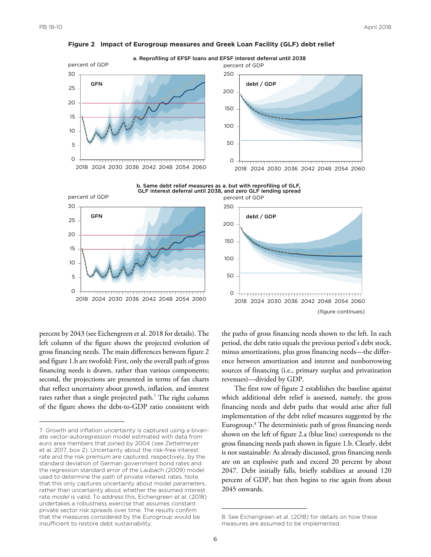

**Figure 2 Impact of Eurogroup measures and Greek Loan Facility (GLF) debt relief**

percent by 2043 (see Eichengreen et al. 2018 for details). The left column of the figure shows the projected evolution of gross financing needs. The main differences between figure 2 and figure 1.b are twofold: First, only the overall path of gross financing needs is drawn, rather than various components; second, the projections are presented in terms of fan charts that reflect uncertainty about growth, inflation, and interest rates rather than a single projected path.<sup>7</sup> The right column of the figure shows the debt-to-GDP ratio consistent with

the paths of gross financing needs shown to the left. In each period, the debt ratio equals the previous period's debt stock, minus amortizations, plus gross financing needs—the difference between amortization and interest and nonborrowing sources of financing (i.e., primary surplus and privatization revenues)—divided by GDP.

The first row of figure 2 establishes the baseline against which additional debt relief is assessed, namely, the gross financing needs and debt paths that would arise after full implementation of the debt relief measures suggested by the Eurogroup.8 The deterministic path of gross financing needs shown on the left of figure 2.a (blue line) corresponds to the gross financing needs path shown in figure 1.b. Clearly, debt is not sustainable: As already discussed, gross financing needs are on an explosive path and exceed 20 percent by about 2047. Debt initially falls, briefly stabilizes at around 120 percent of GDP, but then begins to rise again from about 2045 onwards.

<sup>7.</sup> Growth and inflation uncertainty is captured using a bivariate vector-autoregression model estimated with data from euro area members that joined by 2004 (see Zettelmeyer et al. 2017, box 2). Uncertainty about the risk-free interest rate and the risk premium are captured, respectively, by the standard deviation of German government bond rates and the regression standard error of the Laubach (2009) model used to determine the path of private interest rates. Note that this only captures uncertainty about model *parameters*, rather than uncertainty about whether the assumed interest rate *model* is valid. To address this, Eichengreen et al. (2018) undertakes a robustness exercise that assumes constant private sector risk spreads over time. The results confirm that the measures considered by the Eurogroup would be insufficient to restore debt sustainability.

<sup>8.</sup> See Eichengreen et al. (2018) for details on how these measures are assumed to be implemented.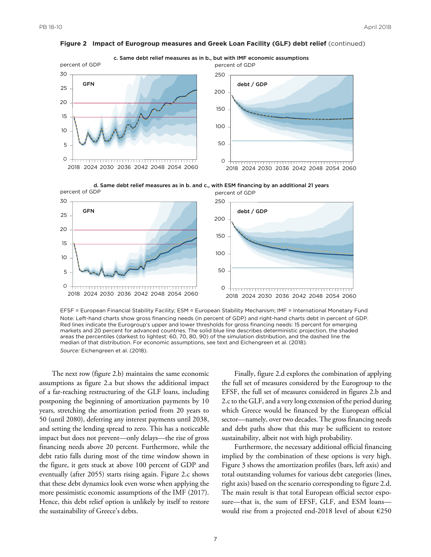

**Figure 2 Impact of Eurogroup measures and Greek Loan Facility (GLF) debt relief** (continued)

EFSF = European Financial Stability Facility; ESM = European Stability Mechanism; IMF = International Monetary Fund Note: Left-hand charts show gross financing needs (in percent of GDP) and right-hand charts debt in percent of GDP. Red lines indicate the Eurogroup's upper and lower thresholds for gross financing needs: 15 percent for emerging markets and 20 percent for advanced countries. The solid blue line describes deterministic projection, the shaded areas the percentiles (darkest to lightest: 60, 70, 80, 90) of the simulation distribution, and the dashed line the median of that distribution. For economic assumptions, see text and Eichengreen et al. (2018). *Source:* Eichengreen et al. (2018).

The next row (figure 2.b) maintains the same economic assumptions as figure 2.a but shows the additional impact of a far-reaching restructuring of the GLF loans, including postponing the beginning of amortization payments by 10 years, stretching the amortization period from 20 years to 50 (until 2080), deferring any interest payments until 2038, and setting the lending spread to zero. This has a noticeable impact but does not prevent—only delays—the rise of gross financing needs above 20 percent. Furthermore, while the debt ratio falls during most of the time window shown in the figure, it gets stuck at above 100 percent of GDP and eventually (after 2055) starts rising again. Figure 2.c shows that these debt dynamics look even worse when applying the more pessimistic economic assumptions of the IMF (2017). Hence, this debt relief option is unlikely by itself to restore the sustainability of Greece's debts.

Finally, figure 2.d explores the combination of applying the full set of measures considered by the Eurogroup to the EFSF, the full set of measures considered in figures 2.b and 2.c to the GLF, and a very long extension of the period during which Greece would be financed by the European official sector—namely, over two decades. The gross financing needs and debt paths show that this may be sufficient to restore sustainability, albeit not with high probability.

Furthermore, the necessary additional official financing implied by the combination of these options is very high. Figure 3 shows the amortization profiles (bars, left axis) and total outstanding volumes for various debt categories (lines, right axis) based on the scenario corresponding to figure 2.d. The main result is that total European official sector exposure—that is, the sum of EFSF, GLF, and ESM loans would rise from a projected end-2018 level of about €250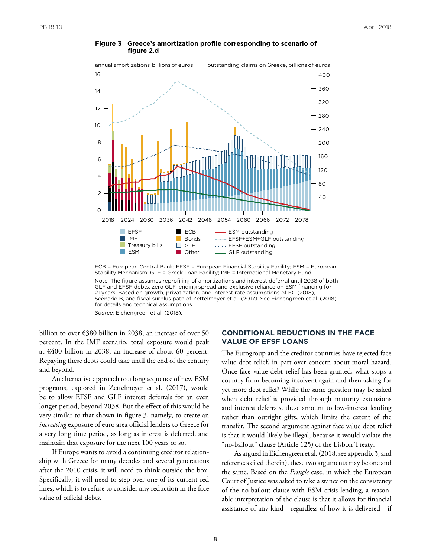

#### **Figure 3 Greece's amortization profile corresponding to scenario of figure 2.d**



Note: The figure assumes reprofiling of amortizations and interest deferral until 2038 of both GLF and EFSF debts, zero GLF lending spread and exclusive reliance on ESM financing for 21 years. Based on growth, privatization, and interest rate assumptions of EC (2018), Scenario B, and fiscal surplus path of Zettelmeyer et al. (2017). See Eichengreen et al. (2018) for details and technical assumptions.

*Source:* Eichengreen et al. (2018).

billion to over €380 billion in 2038, an increase of over 50 percent. In the IMF scenario, total exposure would peak at €400 billion in 2038, an increase of about 60 percent. Repaying these debts could take until the end of the century and beyond.

An alternative approach to a long sequence of new ESM programs, explored in Zettelmeyer et al. (2017), would be to allow EFSF and GLF interest deferrals for an even longer period, beyond 2038. But the effect of this would be very similar to that shown in figure 3, namely, to create an *increasing* exposure of euro area official lenders to Greece for a very long time period, as long as interest is deferred, and maintain that exposure for the next 100 years or so.

If Europe wants to avoid a continuing creditor relationship with Greece for many decades and several generations after the 2010 crisis, it will need to think outside the box. Specifically, it will need to step over one of its current red lines, which is to refuse to consider any reduction in the face value of official debts.

## **CONDITIONAL REDUCTIONS IN THE FACE VALUE OF EFSF LOANS**

The Eurogroup and the creditor countries have rejected face value debt relief, in part over concern about moral hazard. Once face value debt relief has been granted, what stops a country from becoming insolvent again and then asking for yet more debt relief? While the same question may be asked when debt relief is provided through maturity extensions and interest deferrals, these amount to low-interest lending rather than outright gifts, which limits the extent of the transfer. The second argument against face value debt relief is that it would likely be illegal, because it would violate the "no-bailout" clause (Article 125) of the Lisbon Treaty.

As argued in Eichengreen et al. (2018, see appendix 3, and references cited therein), these two arguments may be one and the same. Based on the *Pringle* case, in which the European Court of Justice was asked to take a stance on the consistency of the no-bailout clause with ESM crisis lending, a reasonable interpretation of the clause is that it allows for financial assistance of any kind—regardless of how it is delivered—if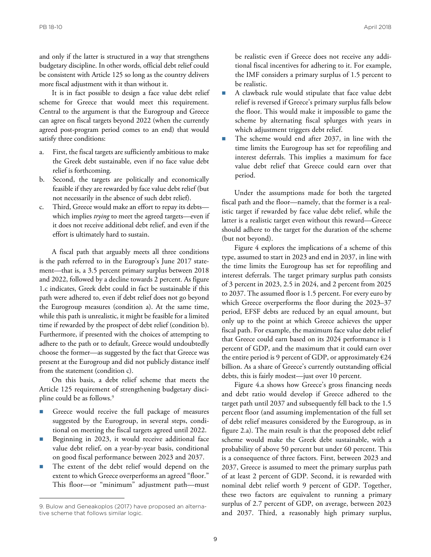and only if the latter is structured in a way that strengthens budgetary discipline. In other words, official debt relief could be consistent with Article 125 so long as the country delivers more fiscal adjustment with it than without it.

It is in fact possible to design a face value debt relief scheme for Greece that would meet this requirement. Central to the argument is that the Eurogroup and Greece can agree on fiscal targets beyond 2022 (when the currently agreed post-program period comes to an end) that would satisfy three conditions:

- a. First, the fiscal targets are sufficiently ambitious to make the Greek debt sustainable, even if no face value debt relief is forthcoming.
- b. Second, the targets are politically and economically feasible if they are rewarded by face value debt relief (but not necessarily in the absence of such debt relief).
- Third, Greece would make an effort to repay its debts which implies *trying* to meet the agreed targets—even if it does not receive additional debt relief, and even if the effort is ultimately hard to sustain.

A fiscal path that arguably meets all three conditions is the path referred to in the Eurogroup's June 2017 statement—that is, a 3.5 percent primary surplus between 2018 and 2022, followed by a decline towards 2 percent. As figure 1.c indicates, Greek debt could in fact be sustainable if this path were adhered to, even if debt relief does not go beyond the Eurogroup measures (condition a). At the same time, while this path is unrealistic, it might be feasible for a limited time if rewarded by the prospect of debt relief (condition b). Furthermore, if presented with the choices of attempting to adhere to the path or to default, Greece would undoubtedly choose the former—as suggested by the fact that Greece was present at the Eurogroup and did not publicly distance itself from the statement (condition c).

On this basis, a debt relief scheme that meets the Article 125 requirement of strengthening budgetary discipline could be as follows.<sup>9</sup>

- Greece would receive the full package of measures suggested by the Eurogroup, in several steps, conditional on meeting the fiscal targets agreed until 2022.
- Beginning in 2023, it would receive additional face value debt relief, on a year-by-year basis, conditional on good fiscal performance between 2023 and 2037.
- The extent of the debt relief would depend on the extent to which Greece overperforms an agreed "floor." This floor—or "minimum" adjustment path—must

be realistic even if Greece does not receive any additional fiscal incentives for adhering to it. For example, the IMF considers a primary surplus of 1.5 percent to be realistic.

- A clawback rule would stipulate that face value debt relief is reversed if Greece's primary surplus falls below the floor. This would make it impossible to game the scheme by alternating fiscal splurges with years in which adjustment triggers debt relief.
- The scheme would end after 2037, in line with the time limits the Eurogroup has set for reprofiling and interest deferrals. This implies a maximum for face value debt relief that Greece could earn over that period.

Under the assumptions made for both the targeted fiscal path and the floor—namely, that the former is a realistic target if rewarded by face value debt relief, while the latter is a realistic target even without this reward—Greece should adhere to the target for the duration of the scheme (but not beyond).

Figure 4 explores the implications of a scheme of this type, assumed to start in 2023 and end in 2037, in line with the time limits the Eurogroup has set for reprofiling and interest deferrals. The target primary surplus path consists of 3 percent in 2023, 2.5 in 2024, and 2 percent from 2025 to 2037. The assumed floor is 1.5 percent. For every euro by which Greece overperforms the floor during the 2023–37 period, EFSF debts are reduced by an equal amount, but only up to the point at which Greece achieves the upper fiscal path. For example, the maximum face value debt relief that Greece could earn based on its 2024 performance is 1 percent of GDP, and the maximum that it could earn over the entire period is 9 percent of GDP, or approximately  $E24$ billion. As a share of Greece's currently outstanding official debts, this is fairly modest—just over 10 percent.

Figure 4.a shows how Greece's gross financing needs and debt ratio would develop if Greece adhered to the target path until 2037 and subsequently fell back to the 1.5 percent floor (and assuming implementation of the full set of debt relief measures considered by the Eurogroup, as in figure 2.a). The main result is that the proposed debt relief scheme would make the Greek debt sustainable, with a probability of above 50 percent but under 60 percent. This is a consequence of three factors. First, between 2023 and 2037, Greece is assumed to meet the primary surplus path of at least 2 percent of GDP. Second, it is rewarded with nominal debt relief worth 9 percent of GDP. Together, these two factors are equivalent to running a primary surplus of 2.7 percent of GDP, on average, between 2023 and 2037. Third, a reasonably high primary surplus,

<sup>9.</sup> Bulow and Geneakoplos (2017) have proposed an alternative scheme that follows similar logic.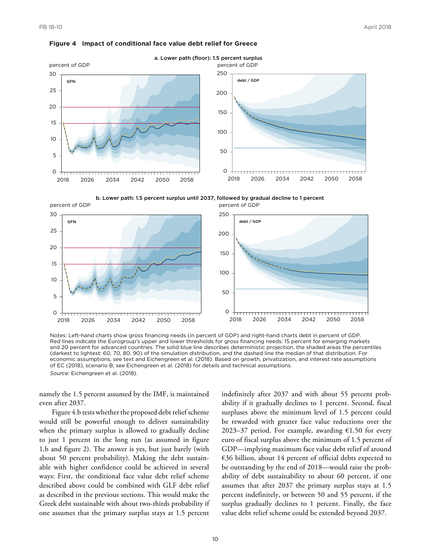







Notes: Left-hand charts show gross financing needs (in percent of GDP) and right-hand charts debt in percent of GDP. Red lines indicate the Eurogroup's upper and lower thresholds for gross financing needs: 15 percent for emerging markets and 20 percent for advanced countries. The solid blue line describes deterministic projection, the shaded areas the percentiles (darkest to lightest: 60, 70, 80, 90) of the simulation distribution, and the dashed line the median of that distribution. For economic assumptions, see text and Eichengreen et al. (2018). Based on growth, privatization, and interest rate assumptions of EC (2018), scenario B; see Eichengreen et al. (2018) for details and technical assumptions. *Source:* Eichengreen et al. (2018).

namely the 1.5 percent assumed by the IMF, is maintained even after 2037.

Figure 4.b tests whether the proposed debt relief scheme would still be powerful enough to deliver sustainability when the primary surplus is allowed to gradually decline to just 1 percent in the long run (as assumed in figure 1.b and figure 2). The answer is yes, but just barely (with about 50 percent probability). Making the debt sustainable with higher confidence could be achieved in several ways: First, the conditional face value debt relief scheme described above could be combined with GLF debt relief as described in the previous sections. This would make the Greek debt sustainable with about two-thirds probability if one assumes that the primary surplus stays at 1.5 percent

indefinitely after 2037 and with about 55 percent probability if it gradually declines to 1 percent. Second, fiscal surpluses above the minimum level of 1.5 percent could be rewarded with greater face value reductions over the 2023–37 period. For example, awarding  $£1.50$  for every euro of fiscal surplus above the minimum of 1.5 percent of GDP—implying maximum face value debt relief of around  $\epsilon$ 36 billion, about 14 percent of official debts expected to be outstanding by the end of 2018—would raise the probability of debt sustainability to about 60 percent, if one assumes that after 2037 the primary surplus stays at 1.5 percent indefinitely, or between 50 and 55 percent, if the surplus gradually declines to 1 percent. Finally, the face value debt relief scheme could be extended beyond 2037.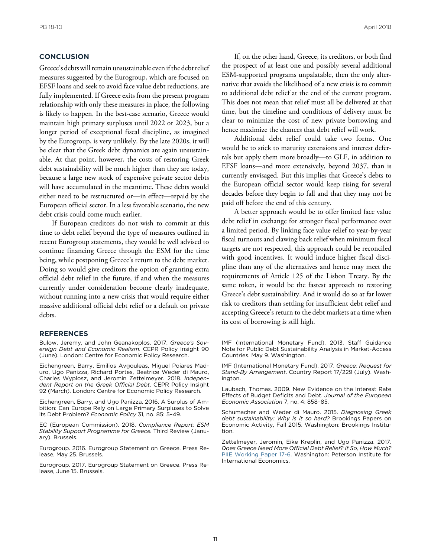## **CONCLUSION**

Greece's debts will remain unsustainable even if the debt relief measures suggested by the Eurogroup, which are focused on EFSF loans and seek to avoid face value debt reductions, are fully implemented. If Greece exits from the present program relationship with only these measures in place, the following is likely to happen. In the best-case scenario, Greece would maintain high primary surpluses until 2022 or 2023, but a longer period of exceptional fiscal discipline, as imagined by the Eurogroup, is very unlikely. By the late 2020s, it will be clear that the Greek debt dynamics are again unsustainable. At that point, however, the costs of restoring Greek debt sustainability will be much higher than they are today, because a large new stock of expensive private sector debts will have accumulated in the meantime. These debts would either need to be restructured or—in effect—repaid by the European official sector. In a less favorable scenario, the new debt crisis could come much earlier.

If European creditors do not wish to commit at this time to debt relief beyond the type of measures outlined in recent Eurogroup statements, they would be well advised to continue financing Greece through the ESM for the time being, while postponing Greece's return to the debt market. Doing so would give creditors the option of granting extra official debt relief in the future, if and when the measures currently under consideration become clearly inadequate, without running into a new crisis that would require either massive additional official debt relief or a default on private debts.

### **REFERENCES**

Bulow, Jeremy, and John Geanakoplos. 2017. *Greece's Sovereign Debt and Economic Realism*. CEPR Policy Insight 90 (June). London: Centre for Economic Policy Research.

Eichengreen, Barry, Emilios Avgouleas, Miguel Poiares Maduro, Ugo Panizza, Richard Portes, Beatrice Weder di Mauro, Charles Wyplosz, and Jeromin Zettelmeyer. 2018. *Independent Report on the Greek Official Debt*. CEPR Policy Insight 92 (March). London: Centre for Economic Policy Research.

Eichengreen, Barry, and Ugo Panizza. 2016. A Surplus of Ambition: Can Europe Rely on Large Primary Surpluses to Solve its Debt Problem? *Economic Policy* 31, no. 85: 5–49.

EC (European Commission). 2018. *Compliance Report: ESM Stability Support Programme for Greece.* Third Review (January). Brussels.

Eurogroup. 2016. Eurogroup Statement on Greece. Press Release, May 25. Brussels.

Eurogroup. 2017. Eurogroup Statement on Greece. Press Release, June 15. Brussels.

If, on the other hand, Greece, its creditors, or both find the prospect of at least one and possibly several additional ESM-supported programs unpalatable, then the only alternative that avoids the likelihood of a new crisis is to commit to additional debt relief at the end of the current program. This does not mean that relief must all be delivered at that time, but the timeline and conditions of delivery must be clear to minimize the cost of new private borrowing and hence maximize the chances that debt relief will work.

Additional debt relief could take two forms. One would be to stick to maturity extensions and interest deferrals but apply them more broadly—to GLF, in addition to EFSF loans—and more extensively, beyond 2037, than is currently envisaged. But this implies that Greece's debts to the European official sector would keep rising for several decades before they begin to fall and that they may not be paid off before the end of this century.

A better approach would be to offer limited face value debt relief in exchange for stronger fiscal performance over a limited period. By linking face value relief to year-by-year fiscal turnouts and clawing back relief when minimum fiscal targets are not respected, this approach could be reconciled with good incentives. It would induce higher fiscal discipline than any of the alternatives and hence may meet the requirements of Article 125 of the Lisbon Treaty. By the same token, it would be the fastest approach to restoring Greece's debt sustainability. And it would do so at far lower risk to creditors than settling for insufficient debt relief and accepting Greece's return to the debt markets at a time when its cost of borrowing is still high.

IMF (International Monetary Fund). 2013. Staff Guidance Note for Public Debt Sustainability Analysis in Market-Access Countries. May 9. Washington.

IMF (International Monetary Fund). 2017. *Greece: Request for Stand-By Arrangement*. Country Report 17/229 (July). Washington.

Laubach, Thomas. 2009. New Evidence on the Interest Rate Effects of Budget Deficits and Debt. *Journal of the European Economic Association* 7, no. 4: 858–85.

Schumacher and Weder di Mauro. 2015. *Diagnosing Greek debt sustainability: Why is it so hard?* Brookings Papers on Economic Activity, Fall 2015. Washington: Brookings Institution.

Zettelmeyer, Jeromin, Eike Kreplin, and Ugo Panizza. 2017. *Does Greece Need More Official Debt Relief? If So, How Much?* [PIIE Working Paper 17-6.](https://piie.com/publications/working-papers/does-greece-need-more-official-debt-relief-if-so-how-much) Washington: Peterson Institute for International Economics.